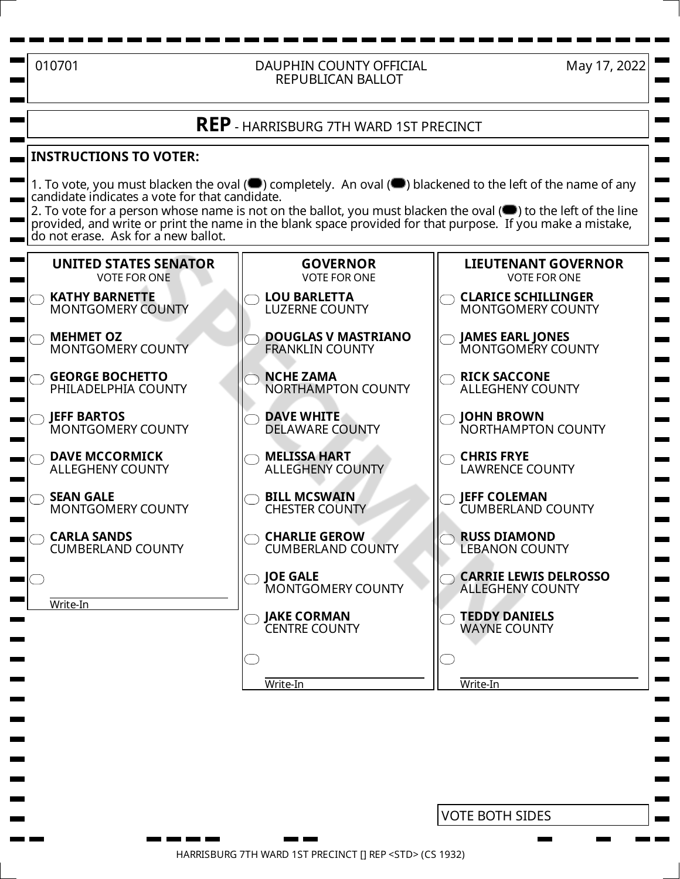## 010701 DAUPHIN COUNTY OFFICIAL REPUBLICAN BALLOT

May 17, 2022

## **REP** - HARRISBURG 7TH WARD 1ST PRECINCT

## **INSTRUCTIONS TO VOTER:**

1. To vote, you must blacken the oval ( $\blacksquare$ ) completely. An oval ( $\blacksquare$ ) blackened to the left of the name of any candidate indicates a vote for that candidate.

2. To vote for a person whose name is not on the ballot, you must blacken the oval  $($ **)** to the left of the line provided, and write or print the name in the blank space provided for that purpose. If you make a mistake, do not erase. Ask for a new ballot.